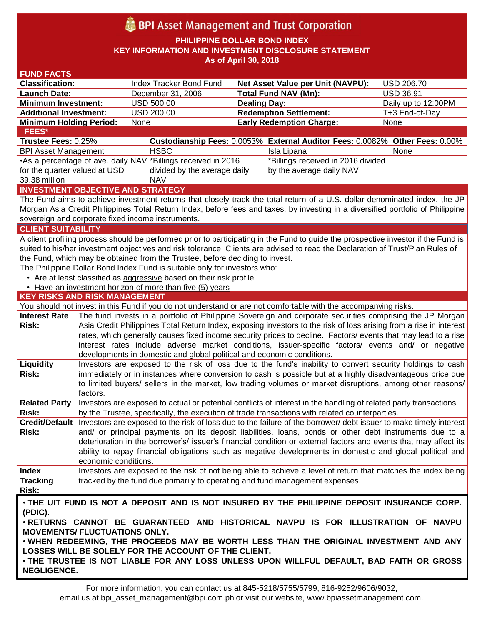# **BPI** Asset Management and Trust Corporation

**PHILIPPINE DOLLAR BOND INDEX**

**KEY INFORMATION AND INVESTMENT DISCLOSURE STATEMENT**

**As of April 30, 2018**

| <b>FUND FACTS</b>                                                                                                                  |                                                                                                                                                                                                                            |                                                                        |                                                                                                                                 |                     |  |
|------------------------------------------------------------------------------------------------------------------------------------|----------------------------------------------------------------------------------------------------------------------------------------------------------------------------------------------------------------------------|------------------------------------------------------------------------|---------------------------------------------------------------------------------------------------------------------------------|---------------------|--|
| <b>Classification:</b>                                                                                                             |                                                                                                                                                                                                                            | Index Tracker Bond Fund                                                | Net Asset Value per Unit (NAVPU):                                                                                               | <b>USD 206.70</b>   |  |
| <b>Launch Date:</b>                                                                                                                |                                                                                                                                                                                                                            | December 31, 2006                                                      | <b>Total Fund NAV (Mn):</b>                                                                                                     | <b>USD 36.91</b>    |  |
| <b>Minimum Investment:</b>                                                                                                         |                                                                                                                                                                                                                            | <b>USD 500.00</b>                                                      | <b>Dealing Day:</b>                                                                                                             | Daily up to 12:00PM |  |
| <b>Additional Investment:</b>                                                                                                      |                                                                                                                                                                                                                            | <b>USD 200.00</b>                                                      | <b>Redemption Settlement:</b>                                                                                                   | T+3 End-of-Day      |  |
| <b>Minimum Holding Period:</b>                                                                                                     |                                                                                                                                                                                                                            | None                                                                   | <b>Early Redemption Charge:</b>                                                                                                 | None                |  |
| <b>FEES*</b>                                                                                                                       |                                                                                                                                                                                                                            |                                                                        |                                                                                                                                 |                     |  |
| Trustee Fees: 0.25%                                                                                                                |                                                                                                                                                                                                                            |                                                                        | Custodianship Fees: 0.0053% External Auditor Fees: 0.0082% Other Fees: 0.00%                                                    |                     |  |
| <b>BPI Asset Management</b>                                                                                                        |                                                                                                                                                                                                                            | <b>HSBC</b>                                                            | Isla Lipana                                                                                                                     | None                |  |
| •As a percentage of ave. daily NAV *Billings received in 2016<br>*Billings received in 2016 divided                                |                                                                                                                                                                                                                            |                                                                        |                                                                                                                                 |                     |  |
| for the quarter valued at USD<br>divided by the average daily<br>by the average daily NAV                                          |                                                                                                                                                                                                                            |                                                                        |                                                                                                                                 |                     |  |
| 39.38 million<br><b>NAV</b>                                                                                                        |                                                                                                                                                                                                                            |                                                                        |                                                                                                                                 |                     |  |
| <b>INVESTMENT OBJECTIVE AND STRATEGY</b>                                                                                           |                                                                                                                                                                                                                            |                                                                        |                                                                                                                                 |                     |  |
| The Fund aims to achieve investment returns that closely track the total return of a U.S. dollar-denominated index, the JP         |                                                                                                                                                                                                                            |                                                                        |                                                                                                                                 |                     |  |
| Morgan Asia Credit Philippines Total Return Index, before fees and taxes, by investing in a diversified portfolio of Philippine    |                                                                                                                                                                                                                            |                                                                        |                                                                                                                                 |                     |  |
| sovereign and corporate fixed income instruments.                                                                                  |                                                                                                                                                                                                                            |                                                                        |                                                                                                                                 |                     |  |
| <b>CLIENT SUITABILITY</b>                                                                                                          |                                                                                                                                                                                                                            |                                                                        |                                                                                                                                 |                     |  |
| A client profiling process should be performed prior to participating in the Fund to guide the prospective investor if the Fund is |                                                                                                                                                                                                                            |                                                                        |                                                                                                                                 |                     |  |
| suited to his/her investment objectives and risk tolerance. Clients are advised to read the Declaration of Trust/Plan Rules of     |                                                                                                                                                                                                                            |                                                                        |                                                                                                                                 |                     |  |
| the Fund, which may be obtained from the Trustee, before deciding to invest.                                                       |                                                                                                                                                                                                                            |                                                                        |                                                                                                                                 |                     |  |
| The Philippine Dollar Bond Index Fund is suitable only for investors who:                                                          |                                                                                                                                                                                                                            |                                                                        |                                                                                                                                 |                     |  |
|                                                                                                                                    |                                                                                                                                                                                                                            | • Are at least classified as aggressive based on their risk profile    |                                                                                                                                 |                     |  |
|                                                                                                                                    |                                                                                                                                                                                                                            | • Have an investment horizon of more than five (5) years               |                                                                                                                                 |                     |  |
| <b>KEY RISKS AND RISK MANAGEMENT</b>                                                                                               |                                                                                                                                                                                                                            |                                                                        |                                                                                                                                 |                     |  |
| You should not invest in this Fund if you do not understand or are not comfortable with the accompanying risks.                    |                                                                                                                                                                                                                            |                                                                        |                                                                                                                                 |                     |  |
| <b>Interest Rate</b>                                                                                                               |                                                                                                                                                                                                                            |                                                                        | The fund invests in a portfolio of Philippine Sovereign and corporate securities comprising the JP Morgan                       |                     |  |
| <b>Risk:</b>                                                                                                                       | Asia Credit Philippines Total Return Index, exposing investors to the risk of loss arising from a rise in interest                                                                                                         |                                                                        |                                                                                                                                 |                     |  |
|                                                                                                                                    | rates, which generally causes fixed income security prices to decline. Factors/ events that may lead to a rise                                                                                                             |                                                                        |                                                                                                                                 |                     |  |
|                                                                                                                                    |                                                                                                                                                                                                                            |                                                                        | interest rates include adverse market conditions, issuer-specific factors/ events and/ or negative                              |                     |  |
|                                                                                                                                    |                                                                                                                                                                                                                            | developments in domestic and global political and economic conditions. |                                                                                                                                 |                     |  |
| Liquidity                                                                                                                          |                                                                                                                                                                                                                            |                                                                        | Investors are exposed to the risk of loss due to the fund's inability to convert security holdings to cash                      |                     |  |
| <b>Risk:</b>                                                                                                                       |                                                                                                                                                                                                                            |                                                                        | immediately or in instances where conversion to cash is possible but at a highly disadvantageous price due                      |                     |  |
|                                                                                                                                    |                                                                                                                                                                                                                            |                                                                        | to limited buyers/ sellers in the market, low trading volumes or market disruptions, among other reasons/                       |                     |  |
|                                                                                                                                    | factors.                                                                                                                                                                                                                   |                                                                        |                                                                                                                                 |                     |  |
| <b>Related Party</b>                                                                                                               |                                                                                                                                                                                                                            |                                                                        | Investors are exposed to actual or potential conflicts of interest in the handling of related party transactions                |                     |  |
| <b>Risk:</b>                                                                                                                       |                                                                                                                                                                                                                            |                                                                        | by the Trustee, specifically, the execution of trade transactions with related counterparties.                                  |                     |  |
|                                                                                                                                    |                                                                                                                                                                                                                            |                                                                        | Credit/Default Investors are exposed to the risk of loss due to the failure of the borrower/debt issuer to make timely interest |                     |  |
| Risk:                                                                                                                              | and/ or principal payments on its deposit liabilities, loans, bonds or other debt instruments due to a<br>deterioration in the borrower's/ issuer's financial condition or external factors and events that may affect its |                                                                        |                                                                                                                                 |                     |  |
|                                                                                                                                    |                                                                                                                                                                                                                            |                                                                        |                                                                                                                                 |                     |  |
|                                                                                                                                    |                                                                                                                                                                                                                            |                                                                        | ability to repay financial obligations such as negative developments in domestic and global political and                       |                     |  |
|                                                                                                                                    | economic conditions.                                                                                                                                                                                                       |                                                                        |                                                                                                                                 |                     |  |
| <b>Index</b>                                                                                                                       |                                                                                                                                                                                                                            |                                                                        | Investors are exposed to the risk of not being able to achieve a level of return that matches the index being                   |                     |  |
| <b>Tracking</b>                                                                                                                    |                                                                                                                                                                                                                            |                                                                        | tracked by the fund due primarily to operating and fund management expenses.                                                    |                     |  |
| Risk:                                                                                                                              |                                                                                                                                                                                                                            |                                                                        |                                                                                                                                 |                     |  |
| . THE UIT FUND IS NOT A DEPOSIT AND IS NOT INSURED BY THE PHILIPPINE DEPOSIT INSURANCE CORP.                                       |                                                                                                                                                                                                                            |                                                                        |                                                                                                                                 |                     |  |
| (PDIC).                                                                                                                            |                                                                                                                                                                                                                            |                                                                        |                                                                                                                                 |                     |  |
| .RETURNS CANNOT BE GUARANTEED AND HISTORICAL NAVPU IS FOR ILLUSTRATION OF NAVPU                                                    |                                                                                                                                                                                                                            |                                                                        |                                                                                                                                 |                     |  |
| <b>MOVEMENTS/ FLUCTUATIONS ONLY.</b>                                                                                               |                                                                                                                                                                                                                            |                                                                        |                                                                                                                                 |                     |  |
| . WHEN REDEEMING, THE PROCEEDS MAY BE WORTH LESS THAN THE ORIGINAL INVESTMENT AND ANY                                              |                                                                                                                                                                                                                            |                                                                        |                                                                                                                                 |                     |  |
| LOSSES WILL BE SOLELY FOR THE ACCOUNT OF THE CLIENT.                                                                               |                                                                                                                                                                                                                            |                                                                        |                                                                                                                                 |                     |  |
| . THE TRUSTEE IS NOT LIABLE FOR ANY LOSS UNLESS UPON WILLFUL DEFAULT, BAD FAITH OR GROSS                                           |                                                                                                                                                                                                                            |                                                                        |                                                                                                                                 |                     |  |
| <b>NEGLIGENCE.</b>                                                                                                                 |                                                                                                                                                                                                                            |                                                                        |                                                                                                                                 |                     |  |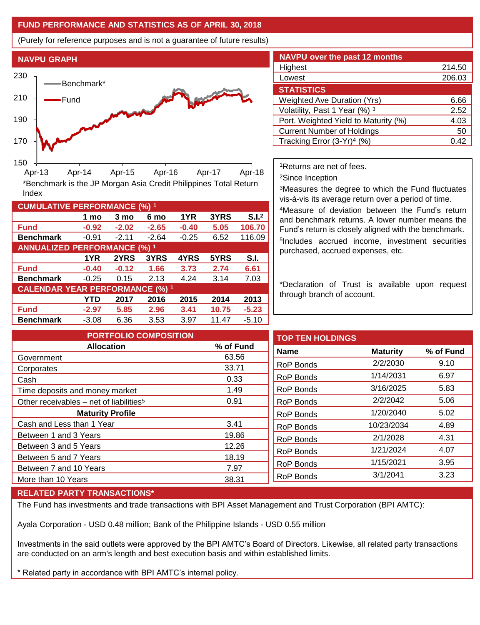## **FUND PERFORMANCE AND STATISTICS AS OF APRIL 30, 2018**

(Purely for reference purposes and is not a guarantee of future results)



**Fund -0.92 -2.02 -2.65 -0.40 5.05 106.70 Benchmark** -0.91 -2.11 -2.64 -0.25 6.52 116.09

\*Benchmark is the JP Morgan Asia Credit Philippines Total Return

**Fund -0.40 -0.12 1.66 3.73 2.74 6.61 Benchmark** -0.25 0.15 2.13 4.24 3.14 7.03

**Fund -2.97 5.85 2.96 3.41 10.75 -5.23 Benchmark** -3.08 6.36 3.53 3.97 11.47 -5.10

**1 mo 3 mo 6 mo 1YR 3YRS S.I.<sup>2</sup>**

**1YR 2YRS 3YRS 4YRS 5YRS S.I.**

**YTD 2017 2016 2015 2014 2013**

| <b>NAVPU over the past 12 months</b>   |        |  |  |  |  |
|----------------------------------------|--------|--|--|--|--|
| Highest                                | 214.50 |  |  |  |  |
| Lowest                                 | 206.03 |  |  |  |  |
| <b>STATISTICS</b>                      |        |  |  |  |  |
| <b>Weighted Ave Duration (Yrs)</b>     | 6.66   |  |  |  |  |
| Volatility, Past 1 Year (%) 3          | 2.52   |  |  |  |  |
| Port. Weighted Yield to Maturity (%)   | 4.03   |  |  |  |  |
| <b>Current Number of Holdings</b>      | 50     |  |  |  |  |
| Tracking Error (3-Yr) <sup>4</sup> (%) | 0.42   |  |  |  |  |

<sup>1</sup>Returns are net of fees.

<sup>2</sup>Since Inception

<sup>3</sup>Measures the degree to which the Fund fluctuates vis-à-vis its average return over a period of time.

<sup>4</sup>Measure of deviation between the Fund's return and benchmark returns. A lower number means the Fund's return is closely aligned with the benchmark. 5 Includes accrued income, investment securities purchased, accrued expenses, etc.

\*Declaration of Trust is available upon request through branch of account.

**TOP TEN HOLDINGS Name Maturity % of Fund** RoP Bonds 2/2/2030 9.10 RoP Bonds 1/14/2031 6.97 RoP Bonds 3/16/2025 5.83 RoP Bonds 2/2/2042 5.06 RoP Bonds 1/20/2040 5.02 RoP Bonds 10/23/2034 4.89 RoP Bonds 2/1/2028 4.31 RoP Bonds 1/21/2024 4.07 RoP Bonds 1/15/2021 3.95 RoP Bonds 3/1/2041 3.23 **PORTFOLIO COMPOSITION Allocation % of Fund** Government 63.56 Corporates 33.71 Cash 0.33 Time deposits and money market 1.49 Other receivables – net of liabilities<sup>5</sup> 0.91 **Maturity Profile** Cash and Less than 1 Year 3.41 Between 1 and 3 Years 19.86 Between 3 and 5 Years 12.26 Between 5 and 7 Years 18.19 Between 7 and 10 Years 7.97 More than 10 Years 38.31

## **RELATED PARTY TRANSACTIONS\***

**CUMULATIVE PERFORMANCE (%) <sup>1</sup>**

Index

**ANNUALIZED PERFORMANCE (%) <sup>1</sup>**

**CALENDAR YEAR PERFORMANCE (%) <sup>1</sup>**

The Fund has investments and trade transactions with BPI Asset Management and Trust Corporation (BPI AMTC):

Ayala Corporation - USD 0.48 million; Bank of the Philippine Islands - USD 0.55 million

Investments in the said outlets were approved by the BPI AMTC's Board of Directors. Likewise, all related party transactions are conducted on an arm's length and best execution basis and within established limits.

\* Related party in accordance with BPI AMTC's internal policy.